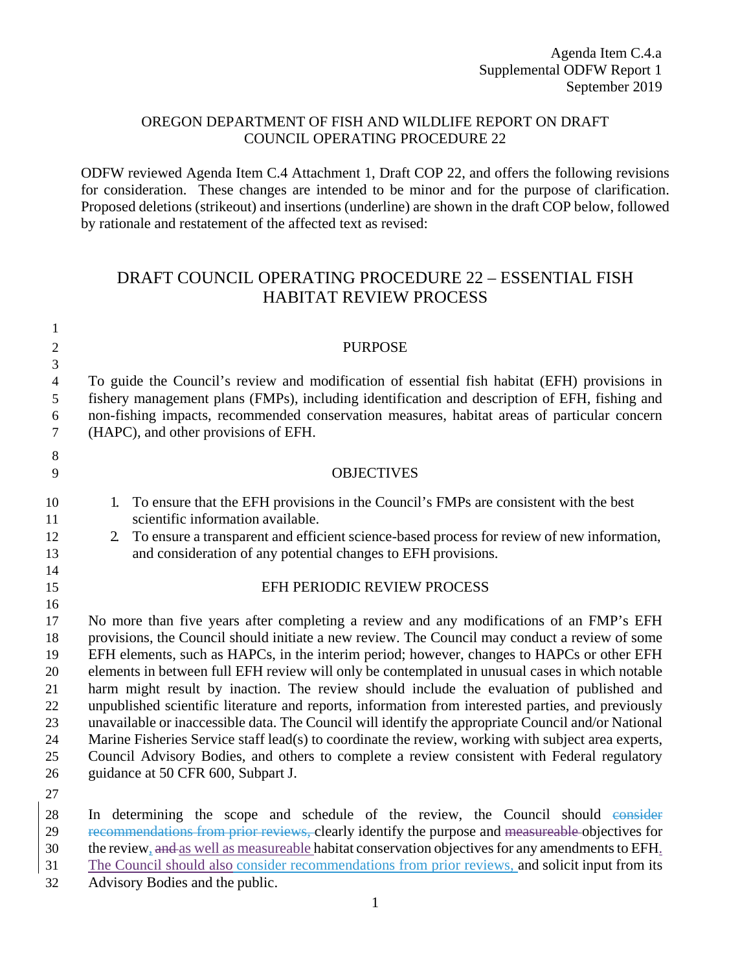## OREGON DEPARTMENT OF FISH AND WILDLIFE REPORT ON DRAFT COUNCIL OPERATING PROCEDURE 22

ODFW reviewed Agenda Item C.4 Attachment 1, Draft COP 22, and offers the following revisions for consideration. These changes are intended to be minor and for the purpose of clarification. Proposed deletions (strikeout) and insertions (underline) are shown in the draft COP below, followed by rationale and restatement of the affected text as revised:

## DRAFT COUNCIL OPERATING PROCEDURE 22 – ESSENTIAL FISH HABITAT REVIEW PROCESS

| $\mathfrak{2}$ | <b>PURPOSE</b>                                                                                                                                                                              |
|----------------|---------------------------------------------------------------------------------------------------------------------------------------------------------------------------------------------|
| $\overline{3}$ |                                                                                                                                                                                             |
| $\overline{4}$ | To guide the Council's review and modification of essential fish habitat (EFH) provisions in                                                                                                |
| 5              | fishery management plans (FMPs), including identification and description of EFH, fishing and                                                                                               |
| 6              | non-fishing impacts, recommended conservation measures, habitat areas of particular concern                                                                                                 |
| $\overline{7}$ | (HAPC), and other provisions of EFH.                                                                                                                                                        |
| 8              |                                                                                                                                                                                             |
| 9              | <b>OBJECTIVES</b>                                                                                                                                                                           |
| 10             | To ensure that the EFH provisions in the Council's FMPs are consistent with the best<br>1.                                                                                                  |
| 11             | scientific information available.                                                                                                                                                           |
| 12             | To ensure a transparent and efficient science-based process for review of new information,<br>$\mathbf{2}$                                                                                  |
| 13             | and consideration of any potential changes to EFH provisions.                                                                                                                               |
| 14             |                                                                                                                                                                                             |
| 15             | EFH PERIODIC REVIEW PROCESS                                                                                                                                                                 |
| 16             |                                                                                                                                                                                             |
| 17             | No more than five years after completing a review and any modifications of an FMP's EFH                                                                                                     |
| 18             | provisions, the Council should initiate a new review. The Council may conduct a review of some                                                                                              |
| 19             | EFH elements, such as HAPCs, in the interim period; however, changes to HAPCs or other EFH                                                                                                  |
| 20<br>21       | elements in between full EFH review will only be contemplated in unusual cases in which notable<br>harm might result by inaction. The review should include the evaluation of published and |
| 22             | unpublished scientific literature and reports, information from interested parties, and previously                                                                                          |
| 23             | unavailable or inaccessible data. The Council will identify the appropriate Council and/or National                                                                                         |
| 24             | Marine Fisheries Service staff lead(s) to coordinate the review, working with subject area experts,                                                                                         |
| 25             | Council Advisory Bodies, and others to complete a review consistent with Federal regulatory                                                                                                 |
| 26             | guidance at 50 CFR 600, Subpart J.                                                                                                                                                          |
| 27             |                                                                                                                                                                                             |
| $2^{\circ}$    | In determining the scope and schedule of the review the Council should consider                                                                                                             |

28 In determining the scope and schedule of the review, the Council should consider 29 recommendations from prior reviews, clearly identify the purpose and measureable objectives for 30 the review, and as well as measureable habitat conservation objectives for any amendments to EFH.

- 31 The Council should also consider recommendations from prior reviews, and solicit input from its
- 32 Advisory Bodies and the public.

1